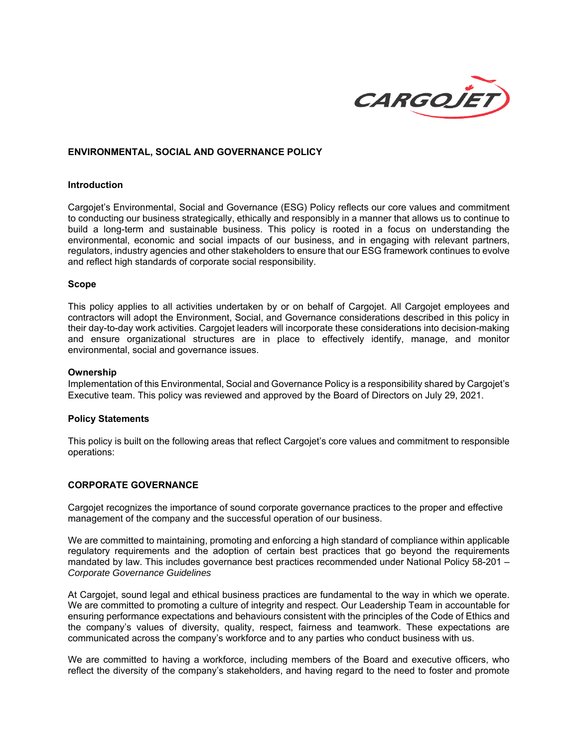

## **ENVIRONMENTAL, SOCIAL AND GOVERNANCE POLICY**

### **Introduction**

Cargojet's Environmental, Social and Governance (ESG) Policy reflects our core values and commitment to conducting our business strategically, ethically and responsibly in a manner that allows us to continue to build a long-term and sustainable business. This policy is rooted in a focus on understanding the environmental, economic and social impacts of our business, and in engaging with relevant partners, regulators, industry agencies and other stakeholders to ensure that our ESG framework continues to evolve and reflect high standards of corporate social responsibility.

### **Scope**

This policy applies to all activities undertaken by or on behalf of Cargojet. All Cargojet employees and contractors will adopt the Environment, Social, and Governance considerations described in this policy in their day-to-day work activities. Cargojet leaders will incorporate these considerations into decision-making and ensure organizational structures are in place to effectively identify, manage, and monitor environmental, social and governance issues.

### **Ownership**

Implementation of this Environmental, Social and Governance Policy is a responsibility shared by Cargojet's Executive team. This policy was reviewed and approved by the Board of Directors on July 29, 2021.

### **Policy Statements**

This policy is built on the following areas that reflect Cargojet's core values and commitment to responsible operations:

### **CORPORATE GOVERNANCE**

Cargojet recognizes the importance of sound corporate governance practices to the proper and effective management of the company and the successful operation of our business.

We are committed to maintaining, promoting and enforcing a high standard of compliance within applicable regulatory requirements and the adoption of certain best practices that go beyond the requirements mandated by law. This includes governance best practices recommended under National Policy 58-201 – *Corporate Governance Guidelines*

At Cargojet, sound legal and ethical business practices are fundamental to the way in which we operate. We are committed to promoting a culture of integrity and respect. Our Leadership Team in accountable for ensuring performance expectations and behaviours consistent with the principles of the Code of Ethics and the company's values of diversity, quality, respect, fairness and teamwork. These expectations are communicated across the company's workforce and to any parties who conduct business with us.

We are committed to having a workforce, including members of the Board and executive officers, who reflect the diversity of the company's stakeholders, and having regard to the need to foster and promote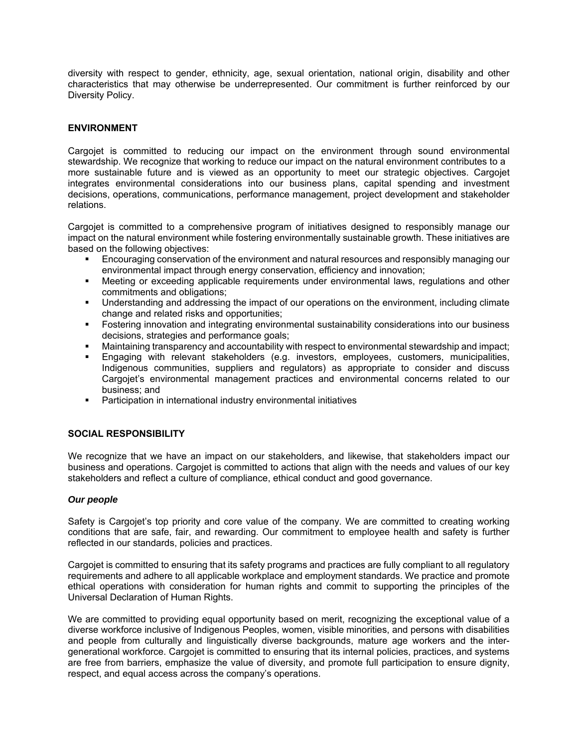diversity with respect to gender, ethnicity, age, sexual orientation, national origin, disability and other characteristics that may otherwise be underrepresented. Our commitment is further reinforced by our Diversity Policy.

# **ENVIRONMENT**

Cargojet is committed to reducing our impact on the environment through sound environmental stewardship. We recognize that working to reduce our impact on the natural environment contributes to a more sustainable future and is viewed as an opportunity to meet our strategic objectives. Cargojet integrates environmental considerations into our business plans, capital spending and investment decisions, operations, communications, performance management, project development and stakeholder relations.

Cargojet is committed to a comprehensive program of initiatives designed to responsibly manage our impact on the natural environment while fostering environmentally sustainable growth. These initiatives are based on the following objectives:

- Encouraging conservation of the environment and natural resources and responsibly managing our environmental impact through energy conservation, efficiency and innovation;
- Meeting or exceeding applicable requirements under environmental laws, regulations and other commitments and obligations;
- Understanding and addressing the impact of our operations on the environment, including climate change and related risks and opportunities;
- Fostering innovation and integrating environmental sustainability considerations into our business decisions, strategies and performance goals;
- Maintaining transparency and accountability with respect to environmental stewardship and impact;
- Engaging with relevant stakeholders (e.g. investors, employees, customers, municipalities, Indigenous communities, suppliers and regulators) as appropriate to consider and discuss Cargojet's environmental management practices and environmental concerns related to our business; and
- **Participation in international industry environmental initiatives**

## **SOCIAL RESPONSIBILITY**

We recognize that we have an impact on our stakeholders, and likewise, that stakeholders impact our business and operations. Cargojet is committed to actions that align with the needs and values of our key stakeholders and reflect a culture of compliance, ethical conduct and good governance.

## *Our people*

Safety is Cargojet's top priority and core value of the company. We are committed to creating working conditions that are safe, fair, and rewarding. Our commitment to employee health and safety is further reflected in our standards, policies and practices.

Cargojet is committed to ensuring that its safety programs and practices are fully compliant to all regulatory requirements and adhere to all applicable workplace and employment standards. We practice and promote ethical operations with consideration for human rights and commit to supporting the principles of the Universal Declaration of Human Rights.

We are committed to providing equal opportunity based on merit, recognizing the exceptional value of a diverse workforce inclusive of Indigenous Peoples, women, visible minorities, and persons with disabilities and people from culturally and linguistically diverse backgrounds, mature age workers and the intergenerational workforce. Cargojet is committed to ensuring that its internal policies, practices, and systems are free from barriers, emphasize the value of diversity, and promote full participation to ensure dignity, respect, and equal access across the company's operations.